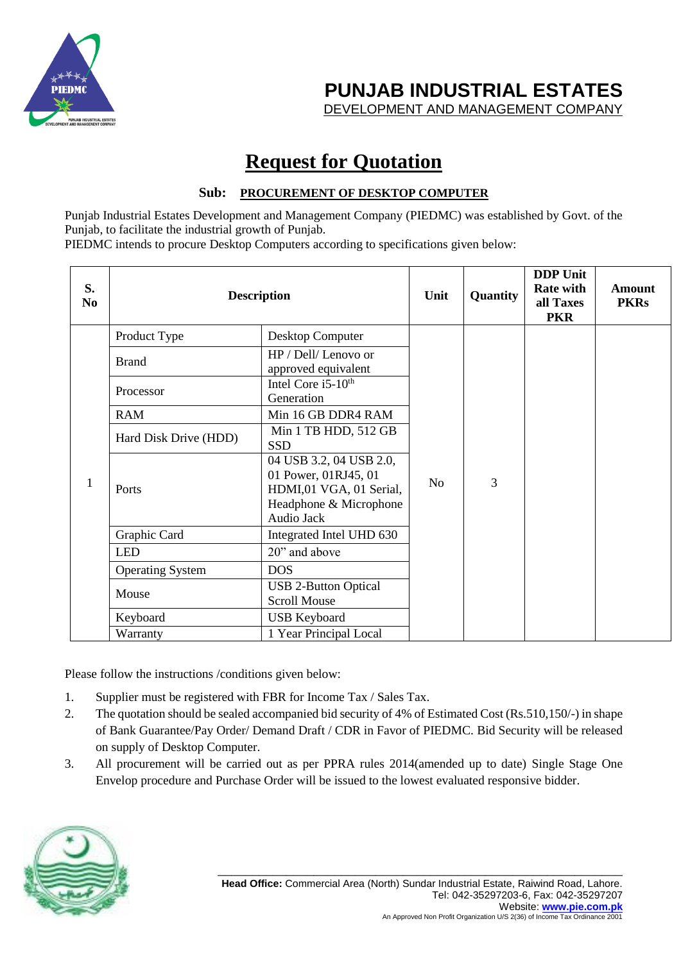

**PUNJAB INDUSTRIAL ESTATES**

DEVELOPMENT AND MANAGEMENT COMPANY

## **Request for Quotation**

#### **Sub: PROCUREMENT OF DESKTOP COMPUTER**

Punjab Industrial Estates Development and Management Company (PIEDMC) was established by Govt. of the Punjab, to facilitate the industrial growth of Punjab.

PIEDMC intends to procure Desktop Computers according to specifications given below:

| S.<br>N <sub>0</sub> | <b>Description</b>      |                                                                                                                    | Unit           | Quantity | <b>DDP</b> Unit<br><b>Rate with</b><br>all Taxes<br><b>PKR</b> | <b>Amount</b><br><b>PKRs</b> |
|----------------------|-------------------------|--------------------------------------------------------------------------------------------------------------------|----------------|----------|----------------------------------------------------------------|------------------------------|
| 1                    | Product Type            | Desktop Computer                                                                                                   | N <sub>o</sub> | 3        |                                                                |                              |
|                      | <b>Brand</b>            | HP / Dell/ Lenovo or<br>approved equivalent                                                                        |                |          |                                                                |                              |
|                      | Processor               | Intel Core i5-10 <sup>th</sup><br>Generation                                                                       |                |          |                                                                |                              |
|                      | <b>RAM</b>              | Min 16 GB DDR4 RAM                                                                                                 |                |          |                                                                |                              |
|                      | Hard Disk Drive (HDD)   | Min 1 TB HDD, 512 GB<br><b>SSD</b>                                                                                 |                |          |                                                                |                              |
|                      | Ports                   | 04 USB 3.2, 04 USB 2.0,<br>01 Power, 01RJ45, 01<br>HDMI,01 VGA, 01 Serial,<br>Headphone & Microphone<br>Audio Jack |                |          |                                                                |                              |
|                      | Graphic Card            | Integrated Intel UHD 630                                                                                           |                |          |                                                                |                              |
|                      | <b>LED</b>              | 20" and above                                                                                                      |                |          |                                                                |                              |
|                      | <b>Operating System</b> | <b>DOS</b>                                                                                                         |                |          |                                                                |                              |
|                      | Mouse                   | <b>USB 2-Button Optical</b><br><b>Scroll Mouse</b>                                                                 |                |          |                                                                |                              |
|                      | Keyboard                | <b>USB Keyboard</b>                                                                                                |                |          |                                                                |                              |
|                      | Warranty                | 1 Year Principal Local                                                                                             |                |          |                                                                |                              |

Please follow the instructions /conditions given below:

- 1. Supplier must be registered with FBR for Income Tax / Sales Tax.
- 2. The quotation should be sealed accompanied bid security of 4% of Estimated Cost (Rs.510,150/-) in shape of Bank Guarantee/Pay Order/ Demand Draft / CDR in Favor of PIEDMC. Bid Security will be released on supply of Desktop Computer.
- 3. All procurement will be carried out as per PPRA rules 2014(amended up to date) Single Stage One Envelop procedure and Purchase Order will be issued to the lowest evaluated responsive bidder.

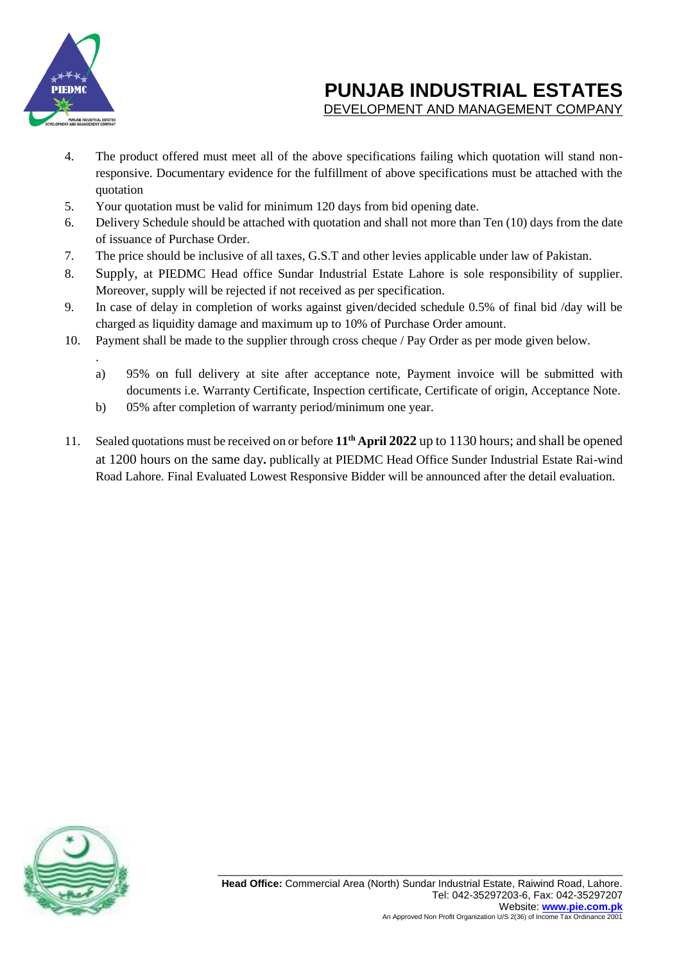

.

# **PUNJAB INDUSTRIAL ESTATES**

- DEVELOPMENT AND MANAGEMENT COMPANY
- 4. The product offered must meet all of the above specifications failing which quotation will stand nonresponsive. Documentary evidence for the fulfillment of above specifications must be attached with the quotation
- 5. Your quotation must be valid for minimum 120 days from bid opening date.
- 6. Delivery Schedule should be attached with quotation and shall not more than Ten (10) days from the date of issuance of Purchase Order.
- 7. The price should be inclusive of all taxes, G.S.T and other levies applicable under law of Pakistan.
- 8. Supply, at PIEDMC Head office Sundar Industrial Estate Lahore is sole responsibility of supplier. Moreover, supply will be rejected if not received as per specification.
- 9. In case of delay in completion of works against given/decided schedule 0.5% of final bid /day will be charged as liquidity damage and maximum up to 10% of Purchase Order amount.
- 10. Payment shall be made to the supplier through cross cheque / Pay Order as per mode given below.
	- a) 95% on full delivery at site after acceptance note, Payment invoice will be submitted with documents i.e. Warranty Certificate, Inspection certificate, Certificate of origin, Acceptance Note.
	- b) 05% after completion of warranty period/minimum one year.
- 11. Sealed quotations must be received on or before **11th April 2022** up to 1130 hours; and shall be opened at 1200 hours on the same day**.** publically at PIEDMC Head Office Sunder Industrial Estate Rai-wind Road Lahore. Final Evaluated Lowest Responsive Bidder will be announced after the detail evaluation.

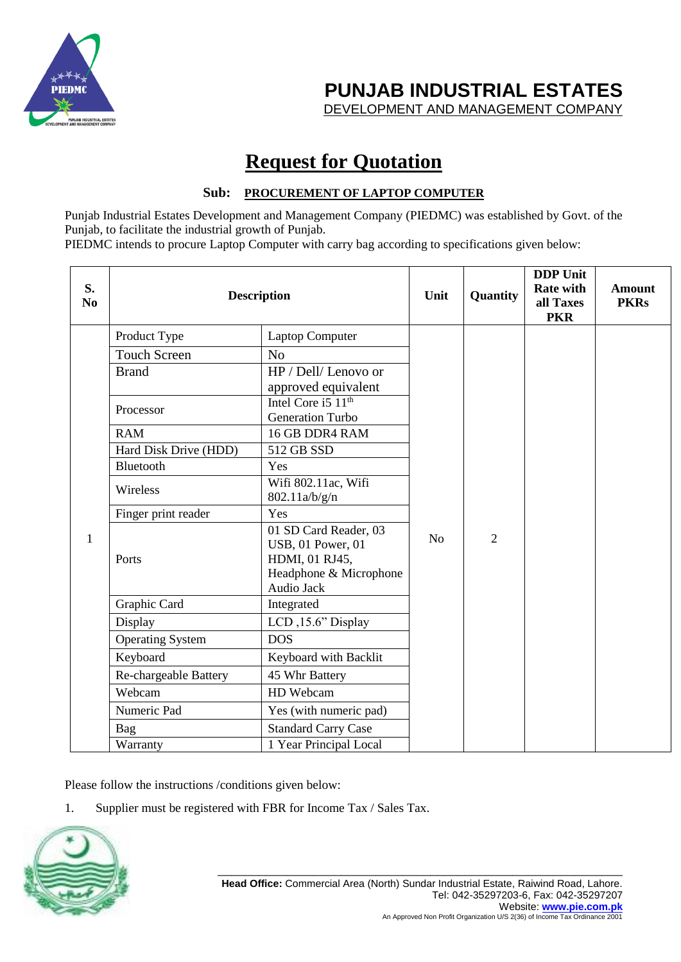

**PUNJAB INDUSTRIAL ESTATES**

DEVELOPMENT AND MANAGEMENT COMPANY

## **Request for Quotation**

#### **Sub: PROCUREMENT OF LAPTOP COMPUTER**

Punjab Industrial Estates Development and Management Company (PIEDMC) was established by Govt. of the Punjab, to facilitate the industrial growth of Punjab.

PIEDMC intends to procure Laptop Computer with carry bag according to specifications given below:

| S.<br>N <sub>0</sub> | <b>Description</b>      |                            | Unit           | Quantity       | <b>DDP</b> Unit<br><b>Rate with</b><br>all Taxes<br><b>PKR</b> | <b>Amount</b><br><b>PKRs</b> |
|----------------------|-------------------------|----------------------------|----------------|----------------|----------------------------------------------------------------|------------------------------|
|                      | Product Type            | <b>Laptop Computer</b>     |                |                |                                                                |                              |
|                      | <b>Touch Screen</b>     | N <sub>o</sub>             |                |                |                                                                |                              |
|                      | <b>Brand</b>            | HP / Dell/ Lenovo or       |                |                |                                                                |                              |
|                      |                         | approved equivalent        |                |                |                                                                |                              |
|                      | Processor               | Intel Core i5 $11th$       |                | $\overline{2}$ |                                                                |                              |
|                      |                         | <b>Generation Turbo</b>    |                |                |                                                                |                              |
|                      | <b>RAM</b>              | 16 GB DDR4 RAM             |                |                |                                                                |                              |
|                      | Hard Disk Drive (HDD)   | 512 GB SSD                 |                |                |                                                                |                              |
|                      | Bluetooth               | Yes                        |                |                |                                                                |                              |
|                      | Wireless                | Wifi 802.11ac, Wifi        |                |                |                                                                |                              |
|                      |                         | 802.11a/b/g/n              |                |                |                                                                |                              |
|                      | Finger print reader     | Yes                        |                |                |                                                                |                              |
|                      | Ports                   | 01 SD Card Reader, 03      |                |                |                                                                |                              |
| $\mathbf{1}$         |                         | <b>USB</b> , 01 Power, 01  | N <sub>o</sub> |                |                                                                |                              |
|                      |                         | HDMI, 01 RJ45,             |                |                |                                                                |                              |
|                      |                         | Headphone & Microphone     |                |                |                                                                |                              |
|                      |                         | Audio Jack                 |                |                |                                                                |                              |
|                      | Graphic Card            | Integrated                 |                |                |                                                                |                              |
|                      | Display                 | LCD, 15.6" Display         |                |                |                                                                |                              |
|                      | <b>Operating System</b> | <b>DOS</b>                 |                |                |                                                                |                              |
|                      | Keyboard                | Keyboard with Backlit      |                |                |                                                                |                              |
|                      | Re-chargeable Battery   | 45 Whr Battery             |                |                |                                                                |                              |
|                      | Webcam                  | HD Webcam                  |                |                |                                                                |                              |
|                      | Numeric Pad             | Yes (with numeric pad)     |                |                |                                                                |                              |
|                      | <b>Bag</b>              | <b>Standard Carry Case</b> |                |                |                                                                |                              |
|                      | Warranty                | 1 Year Principal Local     |                |                |                                                                |                              |

Please follow the instructions /conditions given below:

1. Supplier must be registered with FBR for Income Tax / Sales Tax.